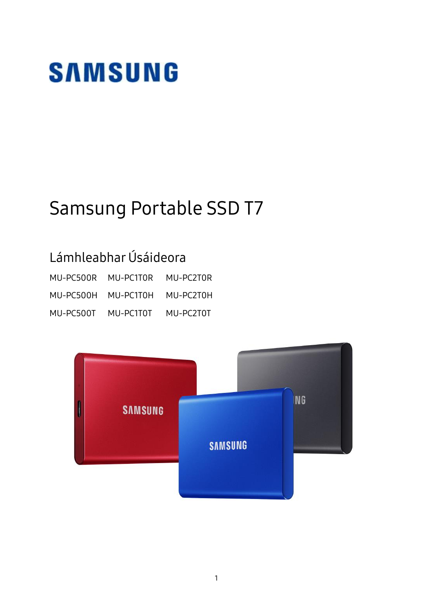# **SAMSUNG**

## Samsung Portable SSD T7

## Lámhleabhar Úsáideora

| MU-PC500R MU-PC1T0R |                     | MU-PC2T0R |
|---------------------|---------------------|-----------|
|                     | MU-PC500H MU-PC1T0H | MU-PC2T0H |
| MU-PC500T           | MU-PC1T0T           | MU-PC2T0T |

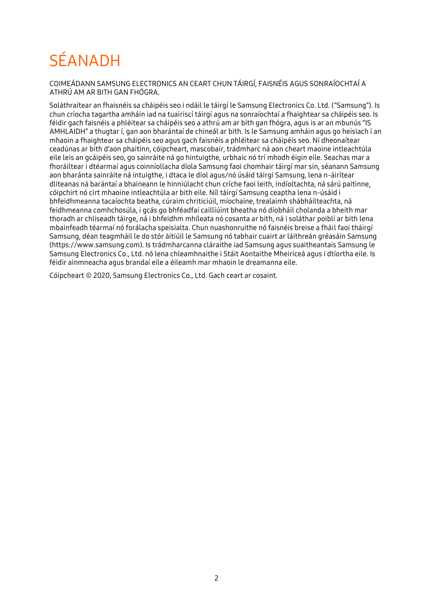## **SÉANADH**

COIMEÁ DANN SAMSUNG ELECTRONICS AN CEART CHUN TÁ IRGÍ, FAISNÉIS AGUS SONRAÍOCHTAÍ A ATHRÚ AM AR BITH GAN FHÓGRA.

Soláthraítear an fhaisnéis sa cháipéis seo i ndáil le táirgí le Samsung Electronics Co. Ltd. ("Samsung"). Is chun críocha tagartha amháin iad na tuairiscí táirgí agus na sonraíochtaí a fhaightear sa cháipéis seo. Is féidir gach faisnéis a phléitear sa cháipéis seo a athrú am ar bith gan fhógra, agus is ar an mbunús "IS AMHLAIDH" a thugtar í, gan aon bharántaí de chineál ar bith. Is le Samsung amháin agus go heisiach í an mhaoin a fhaightear sa cháipéis seo agus gach faisnéis a phléitear sa cháipéis seo. Ní dheonaítear ceadúnas ar bith d'aon phaitinn, cóipcheart, mascobair, trádmharc ná aon cheart maoine intleachtúla eile leis an gcáipéis seo, go sainráite ná go hintuigthe, urbhaic nó trí mhodh éigin eile. Seachas mar a fhoráiltear i dtéarmaí agus coinníollacha díola Samsung faoi chomhair táirgí mar sin, séanann Samsung aon bharánta sainráite ná intuigthe, i dtaca le díol agus/nó úsáid táirgí Samsung, lena n-áirítear dliteanas ná barántaí a bhaineann le hinniúlacht chun críche faoi leith, indíoltachta, ná sárú paitinne, cóipchirt nó cirt mhaoine intleachtúla ar bith eile. Níl táirgí Samsung ceaptha lena n-úsáid i bhfeidhmeanna tacaíochta beatha, cúraim chriticiúil, míochaine, trealaimh shábháilteachta, ná feidhmeanna comhchosúla, i gcás go bhféadfaí cailliúint bheatha nó díobháil cholanda a bheith mar thoradh ar chliseadh táirge, ná i bhfeidhm mhíleata nó cosanta ar bith, ná i soláthar poiblí ar bith lena mbainfeadh téarmaí nó forálacha speisialta. Chun nuashonruithe nó faisnéis breise a fháil faoi tháirgí Samsung, déan teagmháil le do stór áitiúil le Samsung nó tabhair cuairt ar láithreán gréasáin Samsung (https:/[/www.samsung.com\)](http://www.samsung.com/). Is trádmharcanna cláraithe iad Samsung agus suaitheantais Samsung le Samsung Electronics Co., Ltd. nó lena chleamhnaithe i Stáit Aontaithe Mheiriceá agus i dtíortha eile. Is féidir ainmneacha agus brandaí eile a éileamh mar mhaoin le dreamanna eile.

Cóipcheart © 2020, Samsung Electronics Co., Ltd. Gach ceart ar cosaint.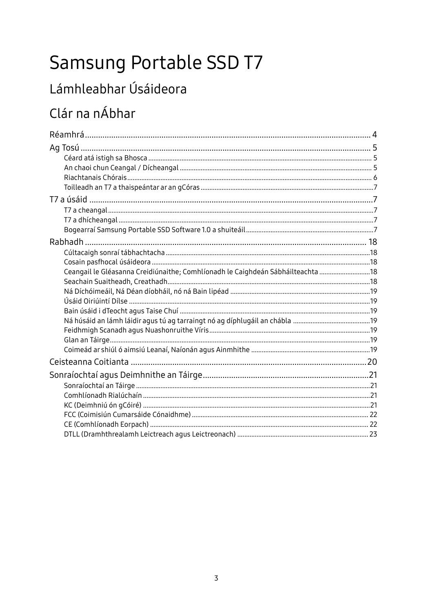## Samsung Portable SSD T7

## Lámhleabhar Úsáideora

## Clár na nÁbhar

| Ceangail le Gléasanna Creidiúnaithe; Comhlíonadh le Caighdeán Sábháilteachta  18 |  |
|----------------------------------------------------------------------------------|--|
|                                                                                  |  |
|                                                                                  |  |
|                                                                                  |  |
|                                                                                  |  |
|                                                                                  |  |
|                                                                                  |  |
|                                                                                  |  |
|                                                                                  |  |
|                                                                                  |  |
|                                                                                  |  |
|                                                                                  |  |
|                                                                                  |  |
|                                                                                  |  |
|                                                                                  |  |
|                                                                                  |  |
|                                                                                  |  |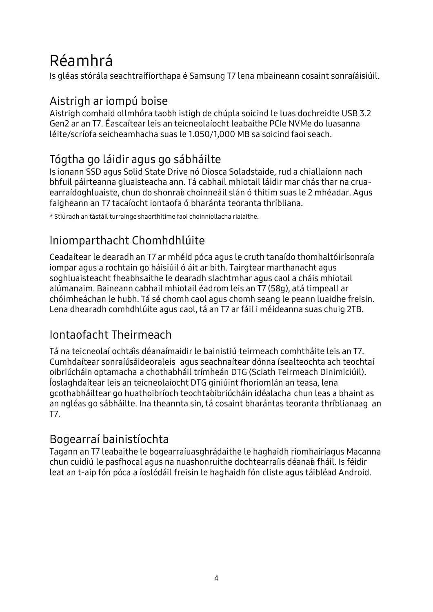## <span id="page-3-0"></span>Réamhrá

Is gléas stórála seachtraí fíorthapa é Samsung T7 lena mbaineann cosaint sonraí áisiúil.

### Aistrigh ar iompú boise

Aistrigh comhaid ollmhóra taobh istigh de chúpla soicind le luas dochreidte USB 3.2 Gen2 ar an T7. Éascaítear leis an teicneolaíocht leabaithe PCIe NVMe do luasanna léite/scríofa seicheamhacha suas le 1.050/1,000 MB sa soicind faoi seach.

## Tógtha go láidir agus go sábháilte

Is ionann SSD agus Solid State Drive nó Diosca Soladstaide, rud a chiallaíonn nach bhfuil páirteanna gluaisteacha ann. Tá cabhail mhiotail láidir mar chás thar na cruaearraí doghluaiste, chun do shonraía choinneáil slán ó thitim suas le 2 mhéadar. Agus faigheann an T7 tacaíocht iontaofa ó bharánta teoranta thríbliana.

\* Stiú radh an tástáil turrainge shaorthitime faoi choinníollacha rialaithe.

## Iniomparthacht Chomhdhlúite

Ceadaítear le dearadh an T7 ar mhéid póca agus le cruth tanaído thomhaltóirí sonraí a iompar agus a rochtain go háisiúil ó áit ar bith. Tairgtear marthanacht agus soghluaisteacht fheabhsaithe le dearadh slachtmhar agus caol a cháis mhiotail alúmanaim. Baineann cabhail mhiotail éadrom leis an T7 (58g), atá timpeall ar chóimheáchan le hubh. Tá sé chomh caol agus chomh seang le peann luaidhe freisin. Lena dhearadh comhdhlúite agus caol, tá an T7 ar fáil i méideanna suas chuig 2TB.

## Iontaofacht Theirmeach

Tá na teicneolaí ochtais déanaí maidir le bainistiú teirmeach comhtháite leis an T7. Cumhdaítear sonraíúsáideoraleis agus seachnaítear dónna ísealteochta ach teochtaí oibriúcháin optamacha a chothabháil trímheán DTG (Sciath Teirmeach Dinimiciúil). Íoslaghdaítear leis an teicneolaíocht DTG giniúint fhoriomlán an teasa, lena gcothabháiltear go huathoibríoch teochtaíoibriúcháin idéalacha chun leas a bhaint as an ngléas go sábháilte. Ina theannta sin, tá cosaint bharántas teoranta thríblianaag an T7.

## Bogearraí bainistíochta

Tagann an T7 leabaithe le bogearraíuasghrádaithe le haghaidh ríomhairí agus Macanna chun cuidiú le pasfhocal agus na nuashonruithe dochtearraí is déana a fháil. Is féidir leat an t-aip fón póca a íoslódáil freisin le haghaidh fón cliste agus táibléad Android.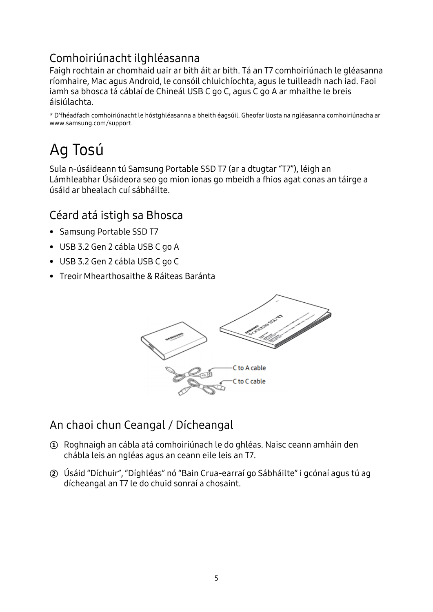## Comhoiriúnacht ilghléasanna

Faigh rochtain ar chomhaid uair ar bith áit ar bith. Tá an T7 comhoiriúnach le gléasanna ríomhaire, Mac agus Android, le consóil chluichíochta, agus le tuilleadh nach iad. Faoi iamh sa bhosca tá cáblaí de Chineál USB C go C, agus C go A ar mhaithe le breis áisiúlachta.

\* D'fhéadfadh comhoiriúnacht le hóstghléasanna a bheith éagsúil. Gheofar liosta na ngléasanna comhoiriúnacha ar www.samsung.com/support.

## <span id="page-4-0"></span>Ag Tosú

Sula n-úsáideann tú Samsung Portable SSD T7 (ar a dtugtar "T7"), léigh an Lámhleabhar Úsáideora seo go mion ionas go mbeidh a fhios agat conas an táirge a úsáid ar bhealach cuí sábháilte.

### <span id="page-4-1"></span>Céard atá istigh sa Bhosca

- Samsung Portable SSD T7
- USB 3.2 Gen 2 cábla USB C go A
- USB 3.2 Gen 2 cábla USB C go C
- Treoir Mhearthosaithe & Ráiteas Baránta



## <span id="page-4-2"></span>An chaoi chun Ceangal / Dícheangal

- **①** Roghnaigh an cábla atá comhoiriúnach le do ghléas. Naisc ceann amháin den chábla leis an ngléas agus an ceann eile leis an T7.
- **②** Úsáid "Díchuir", "Díghléas" nó "Bain Crua-earraí go Sábháilte" i gcónaí agus tú ag dícheangal an T7 le do chuid sonraí a chosaint.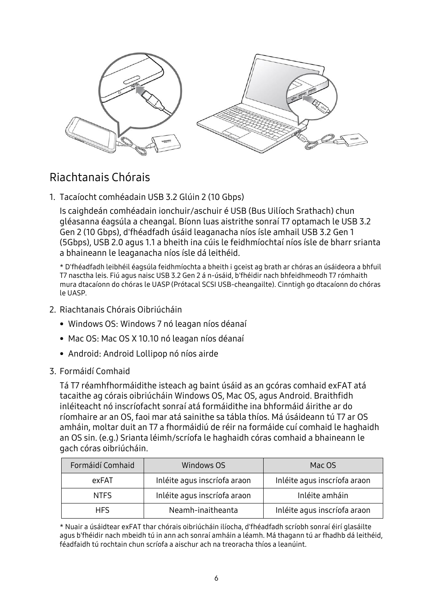

## <span id="page-5-0"></span>Riachtanais Chórais

1. Tacaíocht comhéadain USB 3.2 Glúin 2 (10 Gbps)

Is caighdeán comhéadain ionchuir/aschuir é USB (Bus Uilíoch Srathach) chun gléasanna éagsúla a cheangal. Bíonn luas aistrithe sonraí T7 optamach le USB 3.2 Gen 2 (10 Gbps), d'fhéadfadh úsáid leaganacha níos ísle amhail USB 3.2 Gen 1 (5Gbps), USB 2.0 agus 1.1 a bheith ina cúis le feidhmíochtaí níos ísle de bharr srianta a bhaineann le leaganacha níos ísle dá leithéid.

\* D'fhéadfadh leibhéil éagsúla feidhmíochta a bheith i gceist ag brath ar chóras an úsáideora a bhfuil T7 nasctha leis. Fiú agus naisc USB 3.2 Gen 2 á n-úsáid, b'fhéidir nach bhfeidhmeodh T7 rómhaith mura dtacaíonn do chóras le UASP (Prótacal SCSI USB-cheangailte). Cinntigh go dtacaíonn do chóras le UASP.

- 2. Riachtanais Chórais Oibriúcháin
	- Windows OS: Windows 7 nó leagan níos déanaí
	- Mac OS: Mac OS X 10.10 nó leagan níos déanaí
	- Android: Android Lollipop nó níos airde
- 3. Formáidí Comhaid

Tá T7 réamhfhormáidithe isteach ag baint úsáid as an gcóras comhaid exFAT atá tacaithe ag córais oibriúcháin Windows OS, Mac OS, agus Android. Braithfidh inléiteacht nó inscríofacht sonraí atá formáidithe ina bhformáid áirithe ar do ríomhaire ar an OS, faoi mar atá sainithe sa tábla thíos. Má úsáideann tú T7 ar OS amháin, moltar duit an T7 a fhormáidiú de réir na formáide cuí comhaid le haghaidh an OS sin. (e.g.) Srianta léimh/scríofa le haghaidh córas comhaid a bhaineann le gach córas oibriúcháin.

| Formáidí Comhaid | Windows OS                   | Mac OS                       |
|------------------|------------------------------|------------------------------|
| exFAT            | Inléite agus inscríofa araon | Inléite agus inscríofa araon |
| <b>NTFS</b>      | Inléite agus inscríofa araon | Inléite amháin               |
| HFS.             | Neamh-inaitheanta            | Inléite agus inscríofa araon |

\* Nuair a úsáidtear exFAT thar chórais oibriúcháin ilíocha, d'fhéadfadh scríobh sonraí éirí glasáilte agus b'fhéidir nach mbeidh tú in ann ach sonraí amháin a léamh. Má thagann tú ar fhadhb dá leithéid, féadfaidh tú rochtain chun scríofa a aischur ach na treoracha thíos a leanúint.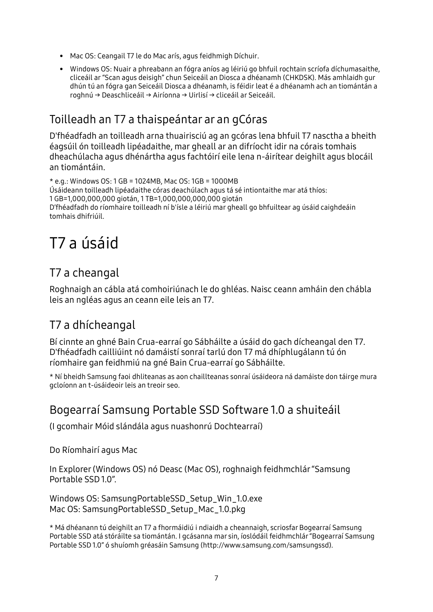- Mac OS: Ceangail T7 le do Mac arís, agus feidhmigh Díchuir.
- Windows OS: Nuair a phreabann an fógra aníos ag léiriú go bhfuil rochtain scríofa díchumasaithe, cliceáil ar "Scan agus deisigh" chun Seiceáil an Diosca a dhéanamh (CHKDSK). Más amhlaidh gur dhún tú an fógra gan Seiceáil Diosca a dhéanamh, is féidir leat é a dhéanamh ach an tiomántán a roghnú → Deaschliceáil → Airíonna → Uirlisí → cliceáil ar Seiceáil.

### <span id="page-6-0"></span>Toilleadh an T7 a thaispeántar ar an gCóras

D'fhéadfadh an toilleadh arna thuairisciú ag an gcóras lena bhfuil T7 nasctha a bheith éagsúil ón toilleadh lipéadaithe, mar gheall ar an difríocht idir na córais tomhais dheachúlacha agus dhénártha agus fachtóirí eile lena n-áirítear deighilt agus blocáil an tiomántáin.

```
* e.g.: Windows OS: 1 GB = 1024MB, Mac OS: 1GB = 1000MB
Ú sáideann toilleadh lipéadaithe córas deachúlach agus tá sé intiontaithe mar atá thíos:
1 GB=1,000,000,000 giotán, 1 TB=1,000,000,000,000 giotán
D'fhéadfadh do ríomhaire toilleadh ní b'ísle a léiriú mar gheall go bhfuiltear ag úsáid caighdeáin 
tomhais dhifriúil.
```
## <span id="page-6-1"></span>T7 a úsáid

## <span id="page-6-2"></span>T7 a cheangal

Roghnaigh an cábla atá comhoiriúnach le do ghléas. Naisc ceann amháin den chábla leis an ngléas agus an ceann eile leis an T7.

## <span id="page-6-3"></span>T7 a dhícheangal

Bí cinnte an ghné Bain Crua-earraí go Sábháilte a úsáid do gach dícheangal den T7. D'fhéadfadh cailliúint nó damáistí sonraí tarlú don T7 má dhíphlugálann tú ón ríomhaire gan feidhmiú na gné Bain Crua-earraí go Sábháilte.

\* Ní bheidh Samsung faoi dhliteanas as aon chaillteanas sonraí úsáideora ná damáiste don táirge mura gcloíonn an t-úsáideoir leis an treoir seo.

### <span id="page-6-4"></span>Bogearraí Samsung Portable SSD Software 1.0 a shuiteáil

(I gcomhair Móid slándála agus nuashonrú Dochtearraí)

Do Ríomhairí agus Mac

In Explorer (Windows OS) nó Deasc (Mac OS), roghnaigh feidhmchlár "Samsung Portable SSD 1.0".

Windows OS: SamsungPortableSSD\_Setup\_Win\_1.0.exe Mac OS: SamsungPortableSSD\_Setup\_Mac\_1.0.pkg

\* Má dhéanann tú deighilt an T7 a fhormáidiú i ndiaidh a cheannaigh, scriosfar Bogearraí Samsung Portable SSD atá stóráilte sa tiomántán. I gcásanna mar sin, íoslódáil feidhmchlár "Bogearraí Samsung Portable SSD 1.0" ó shuíomh gréasáin Samsung (http://www.samsung.com/samsungssd).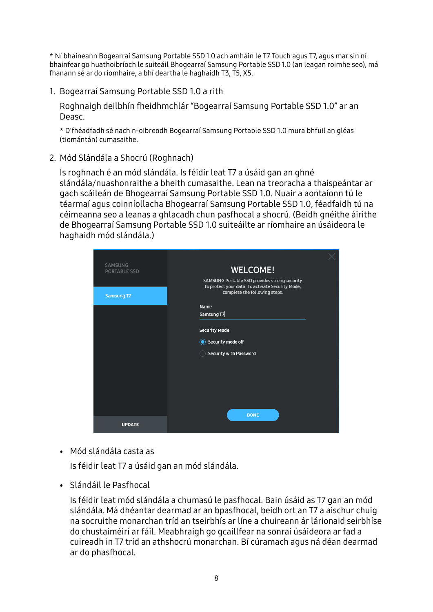\* Ní bhaineann Bogearraí Samsung Portable SSD 1.0 ach amháin le T7 Touch agus T7, agus mar sin ní bhainfear go huathoibríoch le suiteáil Bhogearraí Samsung Portable SSD 1.0 (an leagan roimhe seo), má fhanann sé ar do ríomhaire, a bhí deartha le haghaidh T3, T5, X5.

1. Bogearraí Samsung Portable SSD 1.0 a rith

Roghnaigh deilbhín fheidhmchlár "Bogearraí Samsung Portable SSD 1.0" ar an Deasc.

\* D'fhéadfadh sé nach n-oibreodh Bogearraí Samsung Portable SSD 1.0 mura bhfuil an gléas (tiomántán) cumasaithe.

2. Mód Slándála a Shocrú (Roghnach)

Is roghnach é an mód slándála. Is féidir leat T7 a úsáid gan an ghné slándála/nuashonraithe a bheith cumasaithe. Lean na treoracha a thaispeántar ar gach scáileán de Bhogearraí Samsung Portable SSD 1.0. Nuair a aontaíonn tú le téarmaí agus coinníollacha Bhogearraí Samsung Portable SSD 1.0, féadfaidh tú na céimeanna seo a leanas a ghlacadh chun pasfhocal a shocrú. (Beidh gnéithe áirithe de Bhogearraí Samsung Portable SSD 1.0 suiteáilte ar ríomhaire an úsáideora le haghaidh mód slándála.)

| <b>SAMSUNG</b><br><b>PORTABLE SSD</b> | <b>WELCOME!</b>                                                                                   |  |
|---------------------------------------|---------------------------------------------------------------------------------------------------|--|
|                                       | SAMSUNG Portable SSD provides strong security<br>to protect your data. To activate Security Mode, |  |
| Samsung T7                            | complete the following steps.                                                                     |  |
|                                       | <b>Name</b><br>Samsung T7                                                                         |  |
|                                       | <b>Security Mode</b>                                                                              |  |
|                                       | Security mode off                                                                                 |  |
|                                       | <b>Security with Password</b>                                                                     |  |
|                                       |                                                                                                   |  |
|                                       |                                                                                                   |  |
|                                       |                                                                                                   |  |
|                                       |                                                                                                   |  |
|                                       | <b>DONE</b>                                                                                       |  |
| <b>UPDATE</b>                         |                                                                                                   |  |

• Mód slándála casta as

Is féidir leat T7 a úsáid gan an mód slándála.

• Slándáil le Pasfhocal

Is féidir leat mód slándála a chumasú le pasfhocal. Bain úsáid as T7 gan an mód slándála. Má dhéantar dearmad ar an bpasfhocal, beidh ort an T7 a aischur chuig na socruithe monarchan tríd an tseirbhís ar líne a chuireann ár lárionaid seirbhíse do chustaiméirí ar fáil. Meabhraigh go gcaillfear na sonraí úsáideora ar fad a cuireadh in T7 tríd an athshocrú monarchan. Bí cúramach agus ná déan dearmad ar do phasfhocal.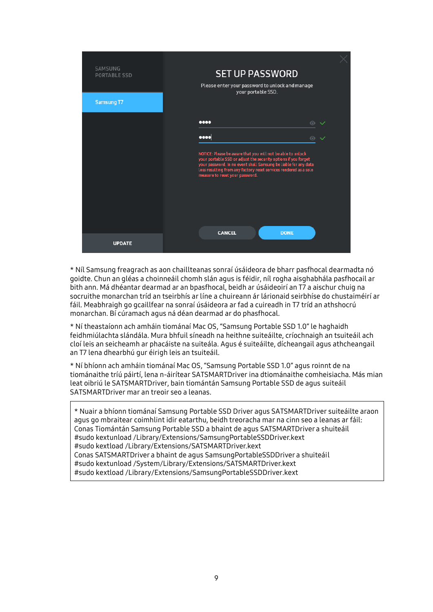

\* Níl Samsung freagrach as aon chaillteanas sonraí úsáideora de bharr pasfhocal dearmadta nó goidte. Chun an gléas a choinneáil chomh slán agus is féidir, níl rogha aisghabhála pasfhocail ar bith ann. Má dhéantar dearmad ar an bpasfhocal, beidh ar úsáideoirí an T7 a aischur chuig na socruithe monarchan tríd an tseirbhís ar líne a chuireann ár lárionaid seirbhíse do chustaiméirí ar fáil. Meabhraigh go gcaillfear na sonraí úsáideora ar fad a cuireadh in T7 tríd an athshocrú monarchan. Bí cúramach agus ná déan dearmad ar do phasfhocal.

\* Ní theastaíonn ach amháin tiománaí Mac OS, "Samsung Portable SSD 1.0" le haghaidh feidhmiúlachta slándála. Mura bhfuil síneadh na heithne suiteáilte, críochnaigh an tsuiteáil ach cloí leis an seicheamh ar phacáiste na suiteála. Agus é suiteáilte, dícheangail agus athcheangail an T7 lena dhearbhú gur éirigh leis an tsuiteáil.

\* Ní bhíonn ach amháin tiománaí Mac OS, "Samsung Portable SSD 1.0" agus roinnt de na tiománaithe tríú páirtí, lena n-áirítear SATSMARTDriver ina dtiománaithe comheisiacha. Más mian leat oibriú le SATSMARTDriver, bain tiomántán Samsung Portable SSD de agus suiteáil SATSMARTDriver mar an treoir seo a leanas.

\* Nuair a bhíonn tiománaí Samsung Portable SSD Driver agus SATSMARTDriver suiteáilte araon agus go mbraitear coimhlint idir eatarthu, beidh treoracha mar na cinn seo a leanas ar fáil: Conas Tiomántán Samsung Portable SSD a bhaint de agus SATSMARTDriver a shuiteáil #sudo kextunload /Library/Extensions/SamsungPortableSSDDriver.kext #sudo kextload /Library/Extensions/SATSMARTDriver.kext Conas SATSMARTDriver a bhaint de agus SamsungPortableSSDDriver a shuiteáil #sudo kextunload /System/Library/Extensions/SATSMARTDriver.kext #sudo kextload /Library/Extensions/SamsungPortableSSDDriver.kext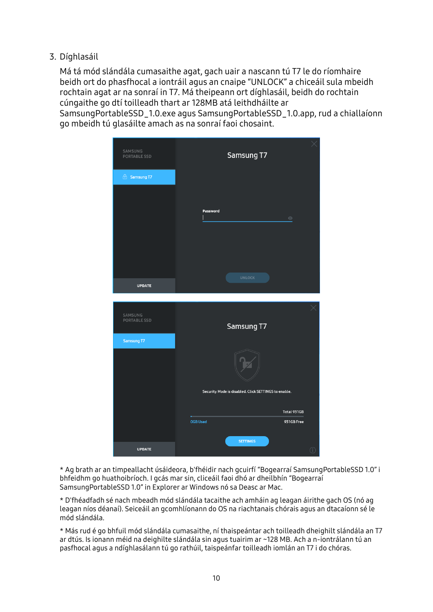3. Díghlasáil

Má tá mód slándála cumasaithe agat, gach uair a nascann tú T7 le do ríomhaire beidh ort do phasfhocal a iontráil agus an cnaipe "UNLOCK" a chiceáil sula mbeidh rochtain agat ar na sonraí in T7. Má theipeann ort díghlasáil, beidh do rochtain cúngaithe go dtí toilleadh thart ar 128MB atá leithdháilte ar

SamsungPortableSSD\_1.0.exe agus SamsungPortableSSD\_1.0.app, rud a chiallaíonn go mbeidh tú glasáilte amach as na sonraí faoi chosaint.



\* Ag brath ar an timpeallacht úsáideora, b'fhéidir nach gcuirfí "Bogearraí SamsungPortableSSD 1.0" i bhfeidhm go huathoibríoch. I gcás mar sin, cliceáil faoi dhó ar dheilbhín "Bogearraí SamsungPortableSSD 1.0" in Explorer ar Windows nó sa Deasc ar Mac.

\* D'fhéadfadh sé nach mbeadh mód slándála tacaithe ach amháin ag leagan áirithe gach OS (nó ag leagan níos déanaí). Seiceáil an gcomhlíonann do OS na riachtanais chórais agus an dtacaíonn sé le mód slándála.

\* Más rud é go bhfuil mód slándála cumasaithe, ní thaispeántar ach toilleadh dheighilt slándála an T7 ar dtús. Is ionann méid na deighilte slándála sin agus tuairim ar ~128 MB. Ach a n-iontrálann tú an pasfhocal agus a ndíghlasálann tú go rathúil, taispeánfar toilleadh iomlán an T7 i do chóras.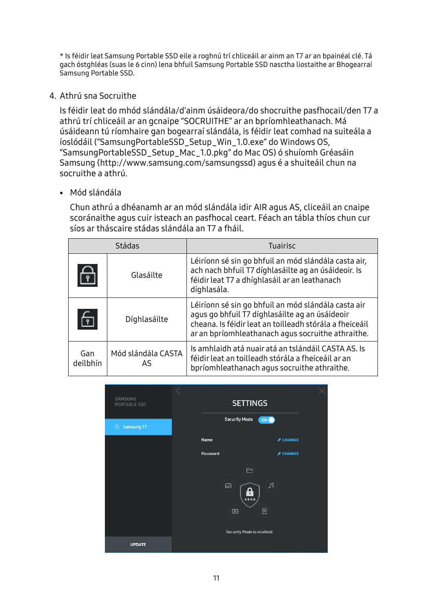\* Is féidir leat Samsung Portable SSD eile a roghnú trí chliceáil ar ainm an T7 ar an bpainéal clé. Tá gach óstghléas (suas le 6 cinn) lena bhfuil Samsung Portable SSD nasctha liostaithe ar Bhogearraí Samsung Portable SSD.

4. Athrú sna Socruithe

Is féidir leat do mhód slándála/d'ainm úsáideora/do shocruithe pasfhocail/den T7 a athrú trí chliceáil ar an gcnaipe "SOCRUITHE" ar an bpríomhleathanach. Má úsáideann tú ríomhaire gan bogearraí slándála, is féidir leat comhad na suiteála a íoslódáil ("SamsungPortableSSD\_Setup\_Win\_1.0.exe" do Windows OS, "SamsungPortableSSD\_Setup\_Mac\_1.0.pkg" do Mac OS) ó shuíomh Gréasáin Samsung (http://www.samsung.com/samsungssd) agus é a shuiteáil chun na socruithe a athrú.

• Mód slándála

Chun athrú a dhéanamh ar an mód slándála idir AIR agus AS, cliceáil an cnaipe scoránaithe agus cuir isteach an pasfhocal ceart. Féach an tábla thíos chun cur síos ar tháscaire stádas slándála an T7 a fháil.

| Stádas          |                           | Tuairisc                                                                                                                                                                                                              |
|-----------------|---------------------------|-----------------------------------------------------------------------------------------------------------------------------------------------------------------------------------------------------------------------|
| မှ              | Glasáilte                 | Léiríonn sé sin go bhfuil an mód slándála casta air,<br>ach nach bhfuil T7 díghlasáilte ag an úsáideoir. Is<br>féidir leat T7 a dhíghlasáil ar an leathanach<br>díghlasála.                                           |
| $rac{C}{2}$     | Díghlasáilte              | Léiríonn sé sin go bhfuil an mód slándála casta air<br>agus go bhfuil T7 díghlasáilte ag an úsáideoir<br>cheana. Is féidir leat an toilleadh stórála a fheiceáil<br>ar an bpríomhleathanach agus socruithe athraithe. |
| Gan<br>deilbhín | Mód slándála CASTA<br>AS. | Is amhlaidh atá nuair atá an tslándáil CASTA AS. Is<br>féidir leat an toilleadh stórála a fheiceáil ar an<br>bpríomhleathanach agus socruithe athraithe.                                                              |

| SAMSUNG<br>PORTABLE SSD |          | <b>SETTINGS</b>                                      |                 |  |
|-------------------------|----------|------------------------------------------------------|-----------------|--|
| 6 Samsung T7            |          | <b>Security Mode</b><br>ON                           |                 |  |
|                         | Name     |                                                      | <b>∕ CHANGE</b> |  |
|                         | Password |                                                      | ✔ CHANGE        |  |
|                         |          | $\Box$                                               |                 |  |
|                         |          | $\mathbb F^1$<br>$\boxtimes$<br>$\mathbf{r}$<br>**** |                 |  |
|                         |          | 目<br>$\textcircled{\scriptsize{\textsf{D}}}$         |                 |  |
|                         |          | Security Mode is enabled.                            |                 |  |
| <b>UPDATE</b>           |          |                                                      |                 |  |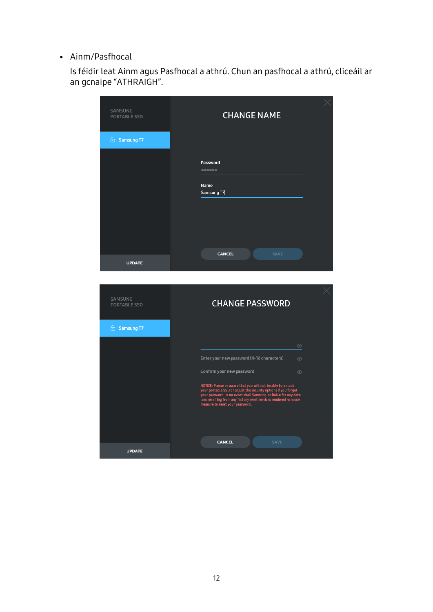• Ainm/Pasfhocal

Is féidir leat Ainm agus Pasfhocal a athrú. Chun an pasfhocal a athrú, cliceáil ar an gcnaipe "ATHRAIGH".

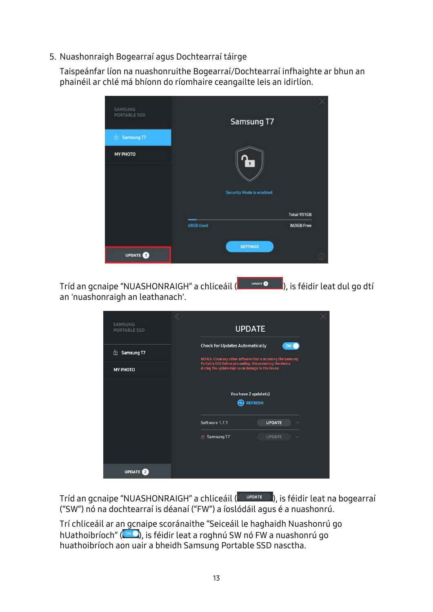5. Nuashonraigh Bogearraí agus Dochtearraí táirge

Taispeánfar líon na nuashonruithe Bogearraí/Dochtearraí infhaighte ar bhun an phainéil ar chlé má bhíonn do ríomhaire ceangailte leis an idirlíon.

| <b>SAMSUNG</b><br>PORTABLE SSD | Samsung T7                               |                    |
|--------------------------------|------------------------------------------|--------------------|
| <b>E</b> Samsung T7            |                                          |                    |
| MY PHOTO                       | $\mathbf{r}$<br>Security Mode is enabled |                    |
|                                |                                          | <b>Total 931GB</b> |
|                                | 68GB Used<br><b>SETTINGS</b>             | 863GB Free         |
| <b>UPDATE</b>                  |                                          | 60                 |

Tríd an gcnaipe "NUASHONRAIGH" a chliceáil (**1900)**, is féidir leat dul go dtí an 'nuashonraigh an leathanach'.

| SAMSUNG<br><b>PORTABLE SSD</b> | <b>UPDATE</b>                                                                                                                                                        |                               |  |
|--------------------------------|----------------------------------------------------------------------------------------------------------------------------------------------------------------------|-------------------------------|--|
| Samsung T7<br>石                | <b>Check for Updates Automatically</b><br>NOTICE: Close any other software that is accessing the Samsung<br>Portable SSD before proceeding. Disconnecting the device | ON <sub>C</sub>               |  |
| <b>MY PHOTO</b>                | during the update may cause damage to the device.                                                                                                                    |                               |  |
|                                | You have 2 update(s)<br><b>REFRESH</b>                                                                                                                               |                               |  |
|                                | Software 1.7.1                                                                                                                                                       | <b>UPDATE</b><br>$\checkmark$ |  |
|                                | <b>A</b> Samsung T7                                                                                                                                                  | <b>UPDATE</b><br>$\checkmark$ |  |
| UPDATE <sup>2</sup>            |                                                                                                                                                                      |                               |  |

Tríd an gcnaipe "NUASHONRAIGH" a chliceáil (webate will), is féidir leat na bogearraí ("SW") nó na dochtearraí is déanaí ("FW") a íoslódáil agus é a nuashonrú.

Trí chliceáil ar an gcnaipe scoránaithe "Seiceáil le haghaidh Nuashonrú go hUathoibríoch" ( $\bullet$  ), is féidir leat a roghnú SW nó FW a nuashonrú go huathoibríoch aon uair a bheidh Samsung Portable SSD nasctha.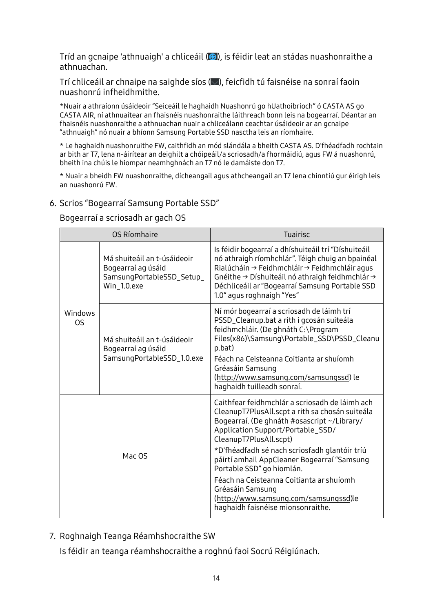Tríd an gcnaipe 'athnuaigh' a chliceáil (<sup>3</sup>), is féidir leat an stádas nuashonraithe a athnuachan.

Trí chliceáil ar chnaipe na saighde síos ( $\Box$ ), feicfidh tú faisnéise na sonraí faoin nuashonrú infheidhmithe.

\*Nuair a athraíonn úsáideoir "Seiceáil le haghaidh Nuashonrú go hUathoibríoch" ó CASTA AS go CASTA AIR, ní athnuaítear an fhaisnéis nuashonraithe láithreach bonn leis na bogearraí. Déantar an fhaisnéis nuashonraithe a athnuachan nuair a chliceálann ceachtar úsáideoir ar an gcnaipe "athnuaigh" nó nuair a bhíonn Samsung Portable SSD nasctha leis an ríomhaire.

\* Le haghaidh nuashonruithe FW, caithfidh an mód slándála a bheith CASTA AS. D'fhéadfadh rochtain ar bith ar T7, lena n-áirítear an deighilt a chóipeáil/a scriosadh/a fhormáidiú, agus FW á nuashonrú, bheith ina chúis le hiompar neamhghnách an T7 nó le damáiste don T7.

\* Nuair a bheidh FW nuashonraithe, dícheangail agus athcheangail an T7 lena chinntiú gur éirigh leis an nuashonrú FW.

#### 6. Scrios "Bogearraí Samsung Portable SSD"

Bogearraí a scriosadh ar gach OS

|                                                                                                   | OS Ríomhaire                                                                                  | <b>Tuairisc</b>                                                                                                                                                                                                                                                                                                                                                                                                                                                                            |
|---------------------------------------------------------------------------------------------------|-----------------------------------------------------------------------------------------------|--------------------------------------------------------------------------------------------------------------------------------------------------------------------------------------------------------------------------------------------------------------------------------------------------------------------------------------------------------------------------------------------------------------------------------------------------------------------------------------------|
|                                                                                                   | Má shuiteáil an t-úsáideoir<br>Bogearraí ag úsáid<br>SamsungPortableSSD_Setup_<br>Win_1.0.exe | Is féidir bogearraí a dhíshuiteáil trí "Díshuiteáil<br>nó athraigh ríomhchlár". Téigh chuig an bpainéal<br>Rialúcháin → Feidhmchláir → Feidhmchláir agus<br>Gnéithe → Díshuiteáil nó athraigh feidhmchlár →<br>Déchliceáil ar "Bogearraí Samsung Portable SSD<br>1.0" agus roghnaigh "Yes"                                                                                                                                                                                                 |
| Windows<br>OS.<br>Má shuiteáil an t-úsáideoir<br>Bogearraí ag úsáid<br>SamsungPortableSSD_1.0.exe |                                                                                               | Ní mór bogearraí a scriosadh de láimh trí<br>PSSD_Cleanup.bat a rith i gcosán suiteála<br>feidhmchláir. (De ghnáth C:\Program<br>Files(x86)\Samsung\Portable_SSD\PSSD_Cleanu<br>p.bat)<br>Féach na Ceisteanna Coitianta ar shuíomh<br>Gréasáin Samsung<br>(http://www.samsung.com/samsungssd) le<br>haghaidh tuilleadh sonraí.                                                                                                                                                             |
| Mac OS                                                                                            |                                                                                               | Caithfear feidhmchlár a scriosadh de láimh ach<br>CleanupT7PlusAll.scpt a rith sa chosán suiteála<br>Bogearraí. (De ghnáth #osascript ~/Library/<br>Application Support/Portable_SSD/<br>CleanupT7PlusAll.scpt)<br>*D'fhéadfadh sé nach scriosfadh glantóir tríú<br>páirtí amhail AppCleaner Bogearraí "Samsung<br>Portable SSD" go hiomlán.<br>Féach na Ceisteanna Coitianta ar shuíomh<br>Gréasáin Samsung<br>(http://www.samsung.com/samsungssd)le<br>haghaidh faisnéise mionsonraithe. |

7. Roghnaigh Teanga Réamhshocraithe SW

Is féidir an teanga réamhshocraithe a roghnú faoi Socrú Réigiúnach.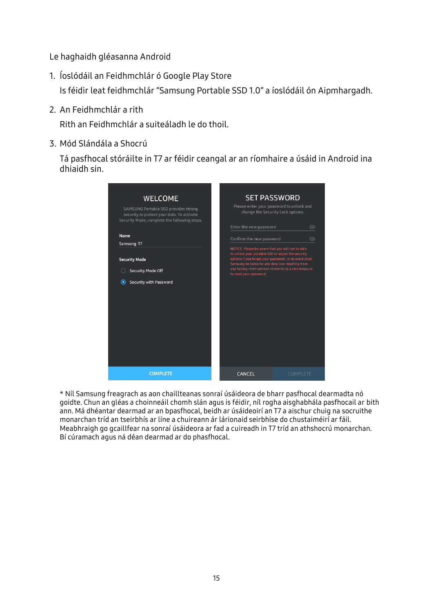Le haghaidh gléasanna Android

- 1. Íoslódáil an Feidhmchlár ó Google Play Store Is féidir leat feidhmchlár "Samsung Portable SSD 1.0" a íoslódáil ón Aipmhargadh.
- 2. An Feidhmchlár a rith

Rith an Feidhmchlár a suiteáladh le do thoil.

3. Mód Slándála a Shocrú

Tá pasfhocal stóráilte in T7 ar féidir ceangal ar an ríomhaire a úsáid in Android ina dhiaidh sin.



\* Níl Samsung freagrach as aon chaillteanas sonraí úsáideora de bharr pasfhocal dearmadta nó goidte. Chun an gléas a choinneáil chomh slán agus is féidir, níl rogha aisghabhála pasfhocail ar bith ann. Má dhéantar dearmad ar an bpasfhocal, beidh ar úsáideoirí an T7 a aischur chuig na socruithe monarchan tríd an tseirbhís ar líne a chuireann ár lárionaid seirbhíse do chustaiméirí ar fáil. Meabhraigh go gcaillfear na sonraí úsáideora ar fad a cuireadh in T7 tríd an athshocrú monarchan. Bí cúramach agus ná déan dearmad ar do phasfhocal.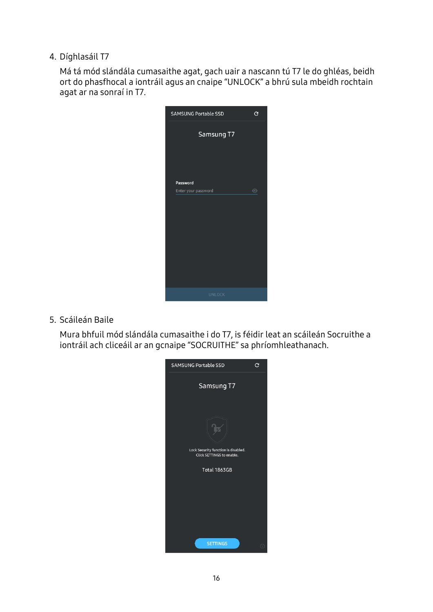4. Díghlasáil T7

Má tá mód slándála cumasaithe agat, gach uair a nascann tú T7 le do ghléas, beidh ort do phasfhocal a iontráil agus an cnaipe "UNLOCK" a bhrú sula mbeidh rochtain agat ar na sonraí in T7.



5. Scáileán Baile

Mura bhfuil mód slándála cumasaithe i do T7, is féidir leat an scáileán Socruithe a iontráil ach cliceáil ar an gcnaipe "SOCRUITHE" sa phríomhleathanach.

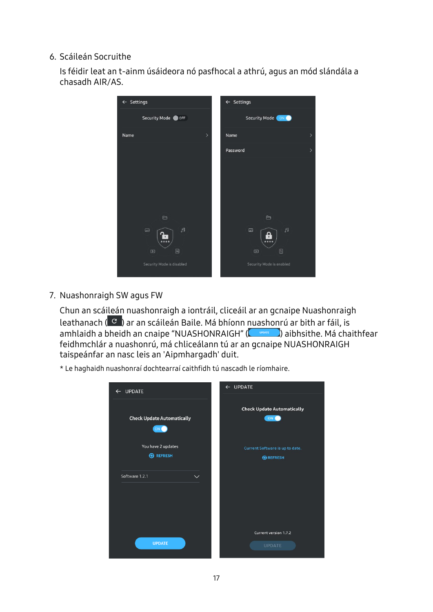#### 6. Scáileán Socruithe

Is féidir leat an t-ainm úsáideora nó pasfhocal a athrú, agus an mód slándála a chasadh AIR/AS.



7. Nuashonraigh SW agus FW

Chun an scáileán nuashonraigh a iontráil, cliceáil ar an gcnaipe Nuashonraigh leathanach ( $\mathcal{C}$ ) ar an scáileán Baile. Má bhíonn nuashonrú ar bith ar fáil, is amhlaidh a bheidh an cnaipe "NUASHONRAIGH" (**Camarachaidh an chaithfear** feidhmchlár a nuashonrú, má chliceálann tú ar an gcnaipe NUASHONRAIGH taispeánfar an nasc leis an 'Aipmhargadh' duit.

\* Le haghaidh nuashonraí dochtearraí caithfidh tú nascadh le ríomhaire.

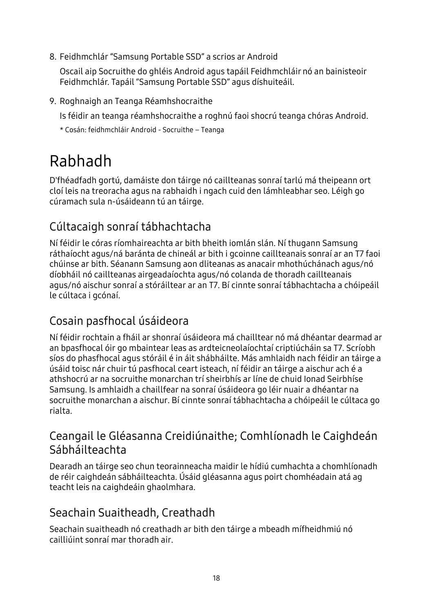8. Feidhmchlár "Samsung Portable SSD" a scrios ar Android

Oscail aip Socruithe do ghléis Android agus tapáil Feidhmchláir nó an bainisteoir Feidhmchlár. Tapáil "Samsung Portable SSD" agus díshuiteáil.

9. Roghnaigh an Teanga Réamhshocraithe

Is féidir an teanga réamhshocraithe a roghnú faoi shocrú teanga chóras Android.

<span id="page-17-0"></span>\* Cosán: feidhmchláir Android - Socruithe – Teanga

## Rabhadh

D'fhéadfadh gortú, damáiste don táirge nó caillteanas sonraí tarlú má theipeann ort cloí leis na treoracha agus na rabhaidh i ngach cuid den lámhleabhar seo. Léigh go cúramach sula n-úsáideann tú an táirge.

## <span id="page-17-1"></span>Cúltacaigh sonraí tábhachtacha

Ní féidir le córas ríomhaireachta ar bith bheith iomlán slán. Ní thugann Samsung ráthaíocht agus/ná baránta de chineál ar bith i gcoinne caillteanais sonraí ar an T7 faoi chúinse ar bith. Séanann Samsung aon dliteanas as anacair mhothúchánach agus/nó díobháil nó caillteanas airgeadaíochta agus/nó colanda de thoradh caillteanais agus/nó aischur sonraí a stóráiltear ar an T7. Bí cinnte sonraí tábhachtacha a chóipeáil le cúltaca i gcónaí.

### <span id="page-17-2"></span>Cosain pasfhocal úsáideora

Ní féidir rochtain a fháil ar shonraí úsáideora má chailltear nó má dhéantar dearmad ar an bpasfhocal óir go mbaintear leas as ardteicneolaíochtaí criptiúcháin sa T7. Scríobh síos do phasfhocal agus stóráil é in áit shábháilte. Más amhlaidh nach féidir an táirge a úsáid toisc nár chuir tú pasfhocal ceart isteach, ní féidir an táirge a aischur ach é a athshocrú ar na socruithe monarchan trí sheirbhís ar líne de chuid Ionad Seirbhíse Samsung. Is amhlaidh a chaillfear na sonraí úsáideora go léir nuair a dhéantar na socruithe monarchan a aischur. Bí cinnte sonraí tábhachtacha a chóipeáil le cúltaca go rialta.

### <span id="page-17-3"></span>Ceangail le Gléasanna Creidiúnaithe; Comhlíonadh le Caighdeán Sábháilteachta

Dearadh an táirge seo chun teorainneacha maidir le hídiú cumhachta a chomhlíonadh de réir caighdeán sábháilteachta. Ú sáid gléasanna agus poirt chomhéadain atá ag teacht leis na caighdeáin ghaolmhara.

### <span id="page-17-4"></span>Seachain Suaitheadh, Creathadh

Seachain suaitheadh nó creathadh ar bith den táirge a mbeadh mífheidhmiú nó cailliúint sonraí mar thoradh air.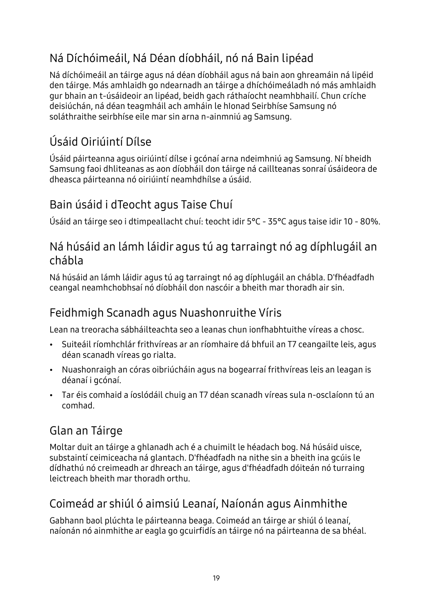## <span id="page-18-0"></span>Ná Díchóimeáil, Ná Déan díobháil, nó ná Bain lipéad

Ná díchóimeáil an táirge agus ná déan díobháil agus ná bain aon ghreamáin ná lipéid den táirge. Más amhlaidh go ndearnadh an táirge a dhíchóimeáladh nó más amhlaidh gur bhain an t-úsáideoir an lipéad, beidh gach ráthaíocht neamhbhailí. Chun críche deisiúchán, ná déan teagmháil ach amháin le hIonad Seirbhíse Samsung nó soláthraithe seirbhíse eile mar sin arna n-ainmniú ag Samsung.

## <span id="page-18-1"></span>Úsáid Oiriúintí Dílse

Ú sáid páirteanna agus oiriúintí dílse i gcónaí arna ndeimhniú ag Samsung. Ní bheidh Samsung faoi dhliteanas as aon díobháil don táirge ná caillteanas sonraí úsáideora de dheasca páirteanna nó oiriúintí neamhdhílse a úsáid.

## <span id="page-18-2"></span>Bain úsáid i dTeocht agus Taise Chuí

Ú sáid an táirge seo i dtimpeallacht chuí: teocht idir 5°C - 35°C agus taise idir 10 - 80%.

### <span id="page-18-3"></span>Ná húsáid an lámh láidir agus tú ag tarraingt nó ag díphlugáil an chábla

Ná húsáid an lámh láidir agus tú ag tarraingt nó ag díphlugáil an chábla. D'fhéadfadh ceangal neamhchobhsaí nó díobháil don nascóir a bheith mar thoradh air sin.

## <span id="page-18-4"></span>Feidhmigh Scanadh agus Nuashonruithe Víris

Lean na treoracha sábháilteachta seo a leanas chun ionfhabhtuithe víreas a chosc.

- Suiteáil ríomhchlár frithvíreas ar an ríomhaire dá bhfuil an T7 ceangailte leis, agus déan scanadh víreas go rialta.
- Nuashonraigh an córas oibriúcháin agus na bogearraí frithvíreas leis an leagan is déanaí i gcónaí.
- Tar éis comhaid a íoslódáil chuig an T7 déan scanadh víreas sula n-osclaíonn tú an comhad.

## <span id="page-18-5"></span>Glan an Táirge

Moltar duit an táirge a ghlanadh ach é a chuimilt le héadach bog. Ná húsáid uisce, substaintí ceimiceacha ná glantach. D'fhéadfadh na nithe sin a bheith ina gcúis le dídhathú nó creimeadh ar dhreach an táirge, agus d'fhéadfadh dóiteán nó turraing leictreach bheith mar thoradh orthu.

## <span id="page-18-6"></span>Coimeád ar shiúl ó aimsiú Leanaí, Naíonán agus Ainmhithe

Gabhann baol plúchta le páirteanna beaga. Coimeád an táirge ar shiúl ó leanaí, naíonán nó ainmhithe ar eagla go gcuirfidís an táirge nó na páirteanna de sa bhéal.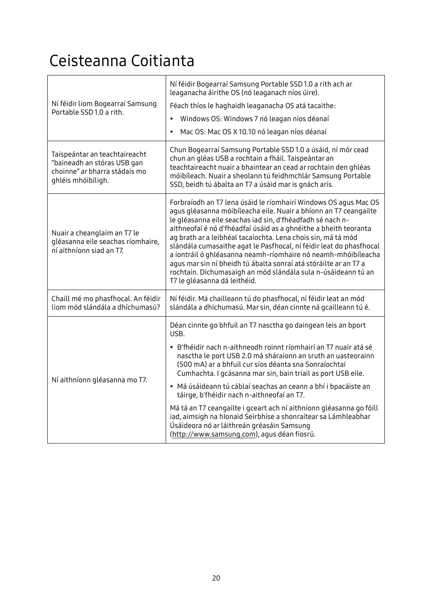## <span id="page-19-0"></span>Ceisteanna Coitianta

| Ní féidir liom Bogearraí Samsung<br>Portable SSD 1.0 a rith.                                                        | Ní féidir Bogearraí Samsung Portable SSD 1.0 a rith ach ar<br>leaganacha áirithe OS (nó leaganach níos úire).<br>Féach thíos le haghaidh leaganacha OS atá tacaithe:<br>Windows OS: Windows 7 nó leagan níos déanaí<br>$\bullet$<br>Mac OS: Mac OS X 10.10 nó leagan níos déanaí<br>$\bullet$                                                                                                                                                                                                                                                                                                                                                                                            |
|---------------------------------------------------------------------------------------------------------------------|------------------------------------------------------------------------------------------------------------------------------------------------------------------------------------------------------------------------------------------------------------------------------------------------------------------------------------------------------------------------------------------------------------------------------------------------------------------------------------------------------------------------------------------------------------------------------------------------------------------------------------------------------------------------------------------|
| Taispeántar an teachtaireacht<br>"baineadh an stóras USB gan<br>choinne" ar bharra stádais mo<br>ghléis mhóibíligh. | Chun Bogearraí Samsung Portable SSD 1.0 a úsáid, ní mór cead<br>chun an gléas USB a rochtain a fháil. Taispeántar an<br>teachtaireacht nuair a bhaintear an cead ar rochtain den ghléas<br>móibíleach. Nuair a sheolann tú feidhmchlár Samsung Portable<br>SSD, beidh tú ábalta an T7 a úsáid mar is gnách arís.                                                                                                                                                                                                                                                                                                                                                                         |
| Nuair a cheanglaím an T7 le<br>gléasanna eile seachas ríomhaire,<br>ní aithníonn siad an T7.                        | Forbraíodh an T7 lena úsáid le ríomhairí Windows OS agus Mac OS<br>agus gléasanna móibíleacha eile. Nuair a bhíonn an T7 ceangailte<br>le gléasanna eile seachas iad sin, d'fhéadfadh sé nach n-<br>aithneofaí é nó d'fhéadfaí úsáid as a ghnéithe a bheith teoranta<br>ag brath ar a leibhéal tacaíochta. Lena chois sin, má tá mód<br>slándála cumasaithe agat le Pasfhocal, ní féidir leat do phasfhocal<br>a iontráil ó ghléasanna neamh-ríomhaire nó neamh-mhóibíleacha<br>agus mar sin ní bheidh tú ábalta sonraí atá stóráilte ar an T7 a<br>rochtain. Díchumasaigh an mód slándála sula n-úsáideann tú an<br>T7 le gléasanna dá leithéid.                                        |
| Chaill mé mo phasfhocal. An féidir<br>liom mód slándála a dhíchumasú?                                               | Ní féidir. Má chailleann tú do phasfhocal, ní féidir leat an mód<br>slándála a dhíchumasú. Mar sin, déan cinnte ná gcailleann tú é.                                                                                                                                                                                                                                                                                                                                                                                                                                                                                                                                                      |
| Ní aithníonn gléasanna mo T7.                                                                                       | Déan cinnte go bhfuil an T7 nasctha go daingean leis an bport<br>USB.<br>· B'fhéidir nach n-aithneodh roinnt ríomhairí an T7 nuair atá sé<br>nasctha le port USB 2.0 má sháraíonn an sruth an uasteorainn<br>(500 mA) ar a bhfuil cur síos déanta sna Sonraíochtaí<br>Cumhachta. I gcásanna mar sin, bain triail as port USB eile.<br>· Má úsáideann tú cáblaí seachas an ceann a bhí i bpacáiste an<br>táirge, b'fhéidir nach n-aithneofaí an T7.<br>Má tá an T7 ceangailte i gceart ach ní aithníonn gléasanna go fóill<br>iad, aimsigh na hIonaid Seirbhíse a shonraítear sa Lámhleabhar<br>Úsáideora nó ar láithreán gréasáin Samsung<br>(http://www.samsung.com), agus déan fiosrú. |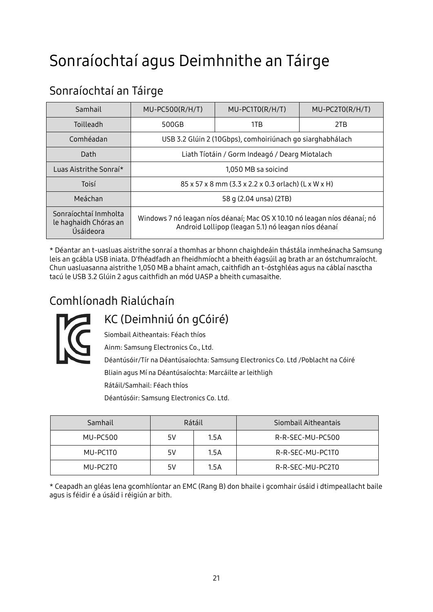## <span id="page-20-0"></span>Sonraíochtaí agus Deimhnithe an Táirge

## <span id="page-20-1"></span>Sonraíochtaí an Táirge

| Samhail                                                     | $MU-PC500(R/H/T)$                                                                                                                | $MU-PC1TO(R/H/T)$                              | $MU-PC2TO(R/H/T)$ |  |  |
|-------------------------------------------------------------|----------------------------------------------------------------------------------------------------------------------------------|------------------------------------------------|-------------------|--|--|
| Toilleadh                                                   | 500GB                                                                                                                            | 1TB                                            | 2TB               |  |  |
| Comhéadan                                                   | USB 3.2 Glúin 2 (10Gbps), comhoiriúnach go siarghabhálach                                                                        |                                                |                   |  |  |
| Dath                                                        |                                                                                                                                  | Liath Tíotáin / Gorm Indeagó / Dearg Miotalach |                   |  |  |
| Luas Aistrithe Sonraí*                                      | 1,050 MB sa soicind                                                                                                              |                                                |                   |  |  |
| Toisí                                                       | 85 x 57 x 8 mm (3.3 x 2.2 x 0.3 orlach) (L x W x H)                                                                              |                                                |                   |  |  |
| Meáchan                                                     | 58 q (2.04 unsa) (2TB)                                                                                                           |                                                |                   |  |  |
| Sonraíochtaí Inmholta<br>le haghaidh Chóras an<br>Úsáideora | Windows 7 nó leagan níos déanaí; Mac OS X 10.10 nó leagan níos déanaí; nó<br>Android Lollipop (leagan 5.1) nó leagan níos déanaí |                                                |                   |  |  |

\* Déantar an t-uasluas aistrithe sonraí a thomhas ar bhonn chaighdeáin thástála inmheánacha Samsung leis an gcábla USB iniata. D'fhéadfadh an fheidhmíocht a bheith éagsúil ag brath ar an óstchumraíocht. Chun uasluasanna aistrithe 1,050 MB a bhaint amach, caithfidh an t-óstghléas agus na cáblaí nasctha tacú le USB 3.2 Glúin 2 agus caithfidh an mód UASP a bheith cumasaithe.

## <span id="page-20-2"></span>Comhlíonadh Rialúchaín



<span id="page-20-3"></span>KC (Deimhniú ón gCóiré) Siombail Aitheantais: Féach thíos

Ainm: Samsung Electronics Co., Ltd.

Déantúsóir/Tír na Déantúsaíochta: Samsung Electronics Co. Ltd /Poblacht na Cóiré Bliain agus Mí na Déantúsaíochta: Marcáilte ar leithligh

Rátáil/Samhail: Féach thíos

Déantúsóir: Samsung Electronics Co. Ltd.

| Samhail  | Rátáil |      | Siombail Aitheantais |
|----------|--------|------|----------------------|
| MU-PC500 | 5V     | 1.5A | R-R-SEC-MU-PC500     |
| MU-PC1T0 | 5V     | 1.5A | R-R-SEC-MU-PC1T0     |
| MU-PC2T0 | 5V     | 1.5A | R-R-SEC-MU-PC2T0     |

\* Ceapadh an gléas lena gcomhlíontar an EMC (Rang B) don bhaile i gcomhair úsáid i dtimpeallacht baile agus is féidir é a úsáid i réigiún ar bith.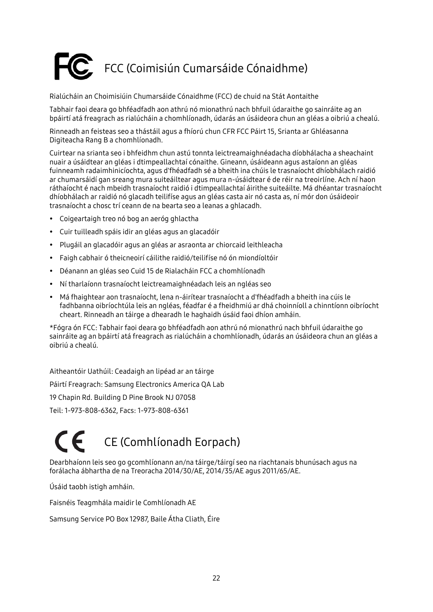# <span id="page-21-0"></span>FCC (Coimisiún Cumarsáide Cónaidhme)

Rialúcháin an Choimisiúin Chumarsáide Cónaidhme (FCC) de chuid na Stát Aontaithe

Tabhair faoi deara go bhféadfadh aon athrú nó mionathrú nach bhfuil údaraithe go sainráite ag an bpáirtí atá freagrach as rialúcháin a chomhlíonadh, údarás an úsáideora chun an gléas a oibriú a chealú.

Rinneadh an feisteas seo a thástáil agus a fhíorú chun CFR FCC Páirt 15, Srianta ar Ghléasanna Digiteacha Rang B a chomhlíonadh.

Cuirtear na srianta seo i bhfeidhm chun astú tonnta leictreamaighnéadacha díobhálacha a sheachaint nuair a úsáidtear an gléas i dtimpeallachtaí cónaithe. Gineann, úsáideann agus astaíonn an gléas fuinneamh radaimhinicíochta, agus d'fhéadfadh sé a bheith ina chúis le trasnaíocht dhíobhálach raidió ar chumarsáidí gan sreang mura suiteáiltear agus mura n-úsáidtear é de réir na treoirlíne. Ach ní haon ráthaíocht é nach mbeidh trasnaíocht raidió i dtimpeallachtaí áirithe suiteáilte. Má dhéantar trasnaíocht dhíobhálach ar raidió nó glacadh teilifíse agus an gléas casta air nó casta as, ní mór don úsáideoir trasnaíocht a chosc trí ceann de na bearta seo a leanas a ghlacadh.

- Coigeartaigh treo nó bog an aeróg ghlactha
- Cuir tuilleadh spáis idir an gléas agus an glacadóir
- Plugáil an glacadóir agus an gléas ar asraonta ar chiorcaid leithleacha
- Faigh cabhair ó theicneoirí cáilithe raidió/teilifíse nó ón miondíoltóir
- Déanann an gléas seo Cuid 15 de Rialacháin FCC a chomhlíonadh
- Ní tharlaíonn trasnaíocht leictreamaighnéadach leis an ngléas seo
- Má fhaightear aon trasnaíocht, lena n-áirítear trasnaíocht a d'fhéadfadh a bheith ina cúis le fadhbanna oibríochtúla leis an ngléas, féadfar é a fheidhmiú ar dhá choinníoll a chinntíonn oibríocht cheart. Rinneadh an táirge a dhearadh le haghaidh úsáid faoi dhíon amháin.

\*Fógra ón FCC: Tabhair faoi deara go bhféadfadh aon athrú nó mionathrú nach bhfuil údaraithe go sainráite ag an bpáirtí atá freagrach as rialúcháin a chomhlíonadh, údarás an úsáideora chun an gléas a oibriú a chealú.

Aitheantóir Uathúil: Ceadaigh an lipéad ar an táirge

Páirtí Freagrach: Samsung Electronics America QA Lab

19 Chapin Rd. Building D Pine Brook NJ 07058

Teil: 1-973-808-6362, Facs: 1-973-808-6361

# <span id="page-21-1"></span>CE (Comhlíonadh Eorpach)

Dearbhaíonn leis seo go gcomhlíonann an/na táirge/táirgí seo na riachtanais bhunúsach agus na forálacha ábhartha de na Treoracha 2014/30/AE, 2014/35/AE agus 2011/65/AE.

Úsáid taobh istigh amháin.

Faisnéis Teagmhála maidir le Comhlíonadh AE

Samsung Service PO Box 12987, Baile Átha Cliath, Éire